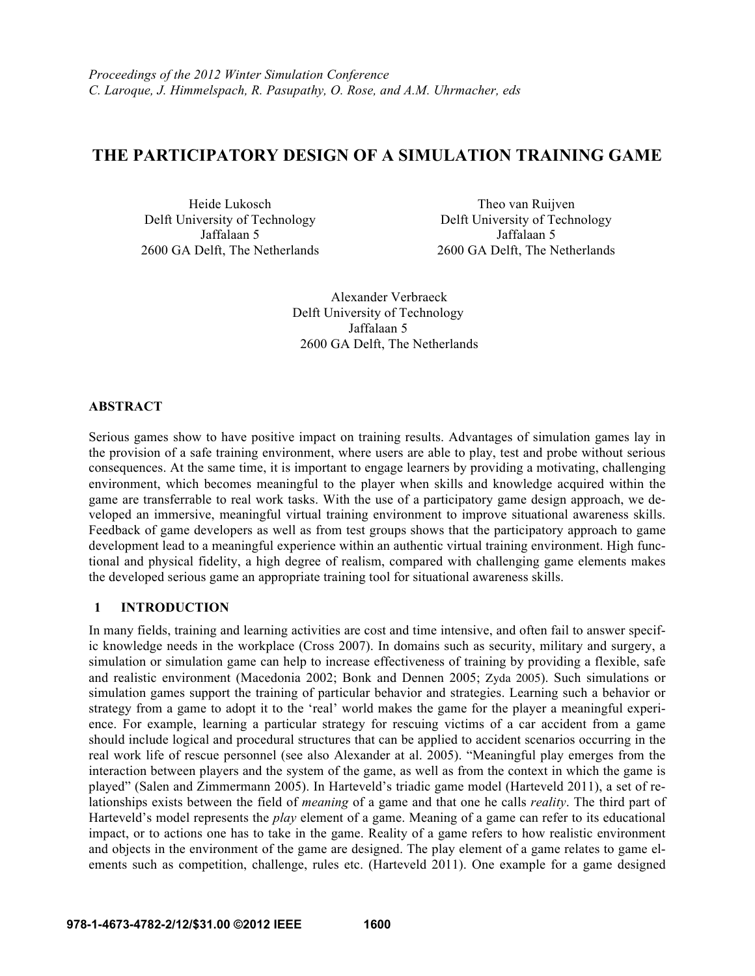# **THE PARTICIPATORY DESIGN OF A SIMULATION TRAINING GAME**

Heide Lukosch Theo van Ruijven Delft University of Technology Delft University of Technology Jaffalaan 5 Jaffalaan 5 2600 GA Delft, The Netherlands 2600 GA Delft, The Netherlands

> Alexander Verbraeck Delft University of Technology Jaffalaan 5 2600 GA Delft, The Netherlands

### **ABSTRACT**

Serious games show to have positive impact on training results. Advantages of simulation games lay in the provision of a safe training environment, where users are able to play, test and probe without serious consequences. At the same time, it is important to engage learners by providing a motivating, challenging environment, which becomes meaningful to the player when skills and knowledge acquired within the game are transferrable to real work tasks. With the use of a participatory game design approach, we developed an immersive, meaningful virtual training environment to improve situational awareness skills. Feedback of game developers as well as from test groups shows that the participatory approach to game development lead to a meaningful experience within an authentic virtual training environment. High functional and physical fidelity, a high degree of realism, compared with challenging game elements makes the developed serious game an appropriate training tool for situational awareness skills.

## **1 INTRODUCTION**

In many fields, training and learning activities are cost and time intensive, and often fail to answer specific knowledge needs in the workplace (Cross 2007). In domains such as security, military and surgery, a simulation or simulation game can help to increase effectiveness of training by providing a flexible, safe and realistic environment (Macedonia 2002; Bonk and Dennen 2005; Zyda 2005). Such simulations or simulation games support the training of particular behavior and strategies. Learning such a behavior or strategy from a game to adopt it to the 'real' world makes the game for the player a meaningful experience. For example, learning a particular strategy for rescuing victims of a car accident from a game should include logical and procedural structures that can be applied to accident scenarios occurring in the real work life of rescue personnel (see also Alexander at al. 2005). "Meaningful play emerges from the interaction between players and the system of the game, as well as from the context in which the game is played" (Salen and Zimmermann 2005). In Harteveld's triadic game model (Harteveld 2011), a set of relationships exists between the field of *meaning* of a game and that one he calls *reality*. The third part of Harteveld's model represents the *play* element of a game. Meaning of a game can refer to its educational impact, or to actions one has to take in the game. Reality of a game refers to how realistic environment and objects in the environment of the game are designed. The play element of a game relates to game elements such as competition, challenge, rules etc. (Harteveld 2011). One example for a game designed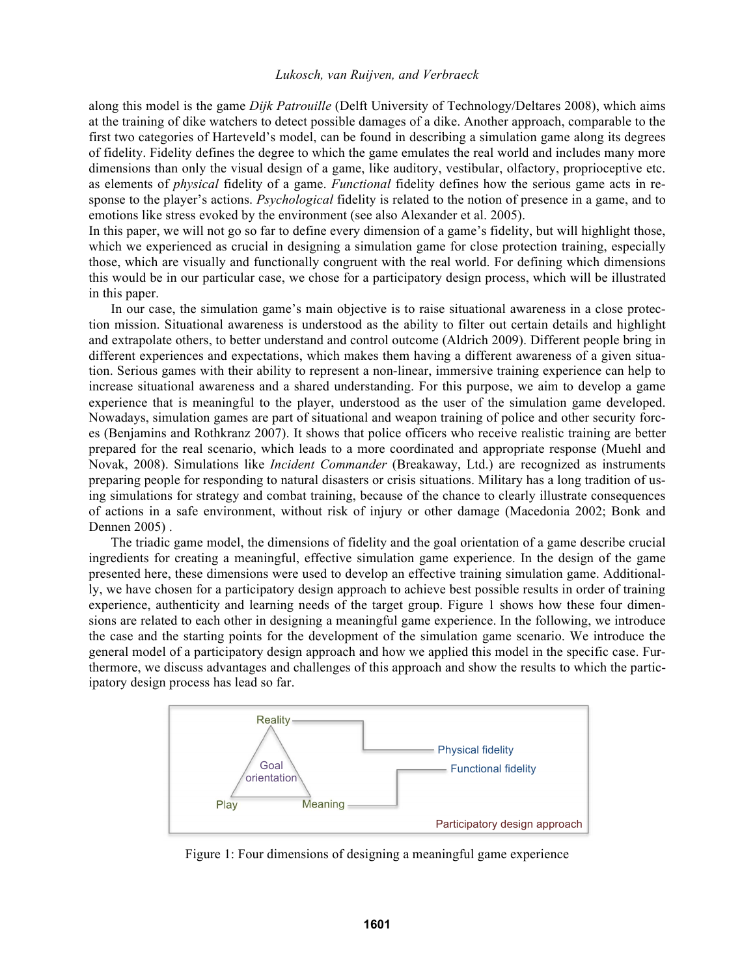along this model is the game *Dijk Patrouille* (Delft University of Technology/Deltares 2008), which aims at the training of dike watchers to detect possible damages of a dike. Another approach, comparable to the first two categories of Harteveld's model, can be found in describing a simulation game along its degrees of fidelity. Fidelity defines the degree to which the game emulates the real world and includes many more dimensions than only the visual design of a game, like auditory, vestibular, olfactory, proprioceptive etc. as elements of *physical* fidelity of a game. *Functional* fidelity defines how the serious game acts in response to the player's actions. *Psychological* fidelity is related to the notion of presence in a game, and to emotions like stress evoked by the environment (see also Alexander et al. 2005).

In this paper, we will not go so far to define every dimension of a game's fidelity, but will highlight those, which we experienced as crucial in designing a simulation game for close protection training, especially those, which are visually and functionally congruent with the real world. For defining which dimensions this would be in our particular case, we chose for a participatory design process, which will be illustrated in this paper.

 In our case, the simulation game's main objective is to raise situational awareness in a close protection mission. Situational awareness is understood as the ability to filter out certain details and highlight and extrapolate others, to better understand and control outcome (Aldrich 2009). Different people bring in different experiences and expectations, which makes them having a different awareness of a given situation. Serious games with their ability to represent a non-linear, immersive training experience can help to increase situational awareness and a shared understanding. For this purpose, we aim to develop a game experience that is meaningful to the player, understood as the user of the simulation game developed. Nowadays, simulation games are part of situational and weapon training of police and other security forces (Benjamins and Rothkranz 2007). It shows that police officers who receive realistic training are better prepared for the real scenario, which leads to a more coordinated and appropriate response (Muehl and Novak, 2008). Simulations like *Incident Commander* (Breakaway, Ltd.) are recognized as instruments preparing people for responding to natural disasters or crisis situations. Military has a long tradition of using simulations for strategy and combat training, because of the chance to clearly illustrate consequences of actions in a safe environment, without risk of injury or other damage (Macedonia 2002; Bonk and Dennen 2005) .

 The triadic game model, the dimensions of fidelity and the goal orientation of a game describe crucial ingredients for creating a meaningful, effective simulation game experience. In the design of the game presented here, these dimensions were used to develop an effective training simulation game. Additionally, we have chosen for a participatory design approach to achieve best possible results in order of training experience, authenticity and learning needs of the target group. Figure 1 shows how these four dimensions are related to each other in designing a meaningful game experience. In the following, we introduce the case and the starting points for the development of the simulation game scenario. We introduce the general model of a participatory design approach and how we applied this model in the specific case. Furthermore, we discuss advantages and challenges of this approach and show the results to which the participatory design process has lead so far.



Figure 1: Four dimensions of designing a meaningful game experience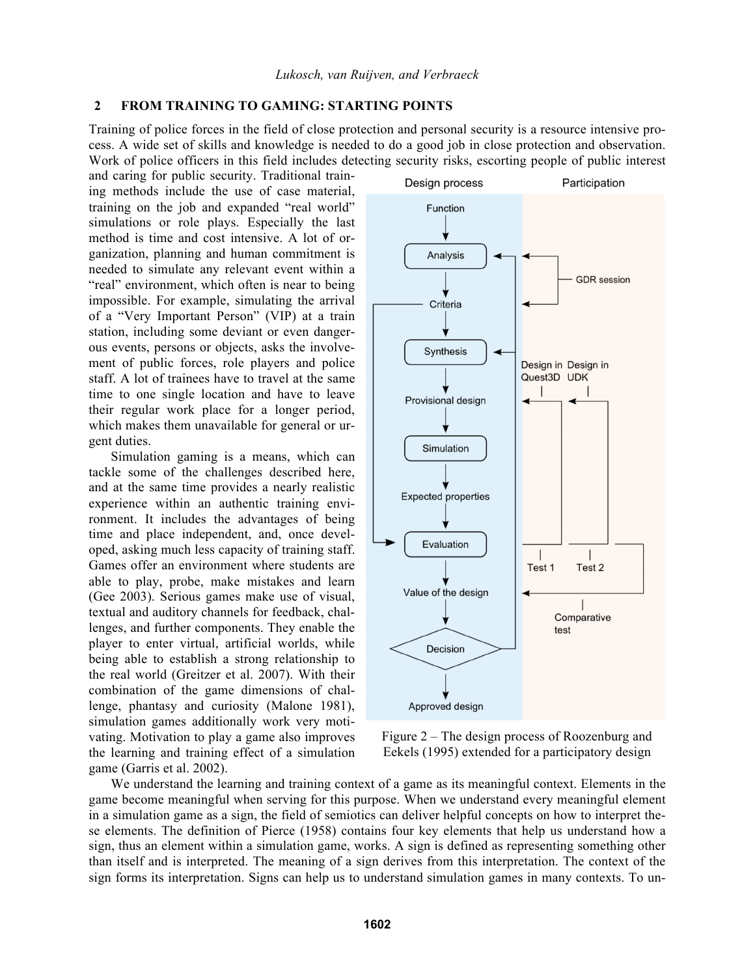### **2 FROM TRAINING TO GAMING: STARTING POINTS**

Training of police forces in the field of close protection and personal security is a resource intensive process. A wide set of skills and knowledge is needed to do a good job in close protection and observation. Work of police officers in this field includes detecting security risks, escorting people of public interest

and caring for public security. Traditional training methods include the use of case material, training on the job and expanded "real world" simulations or role plays. Especially the last method is time and cost intensive. A lot of organization, planning and human commitment is needed to simulate any relevant event within a "real" environment, which often is near to being impossible. For example, simulating the arrival of a "Very Important Person" (VIP) at a train station, including some deviant or even dangerous events, persons or objects, asks the involvement of public forces, role players and police staff. A lot of trainees have to travel at the same time to one single location and have to leave their regular work place for a longer period, which makes them unavailable for general or urgent duties.

 Simulation gaming is a means, which can tackle some of the challenges described here, and at the same time provides a nearly realistic experience within an authentic training environment. It includes the advantages of being time and place independent, and, once developed, asking much less capacity of training staff. Games offer an environment where students are able to play, probe, make mistakes and learn (Gee 2003). Serious games make use of visual, textual and auditory channels for feedback, challenges, and further components. They enable the player to enter virtual, artificial worlds, while being able to establish a strong relationship to the real world (Greitzer et al. 2007). With their combination of the game dimensions of challenge, phantasy and curiosity (Malone 1981), simulation games additionally work very motivating. Motivation to play a game also improves the learning and training effect of a simulation game (Garris et al. 2002).



Figure 2 – The design process of Roozenburg and Eekels (1995) extended for a participatory design

 We understand the learning and training context of a game as its meaningful context. Elements in the game become meaningful when serving for this purpose. When we understand every meaningful element in a simulation game as a sign, the field of semiotics can deliver helpful concepts on how to interpret these elements. The definition of Pierce (1958) contains four key elements that help us understand how a sign, thus an element within a simulation game, works. A sign is defined as representing something other than itself and is interpreted. The meaning of a sign derives from this interpretation. The context of the sign forms its interpretation. Signs can help us to understand simulation games in many contexts. To un-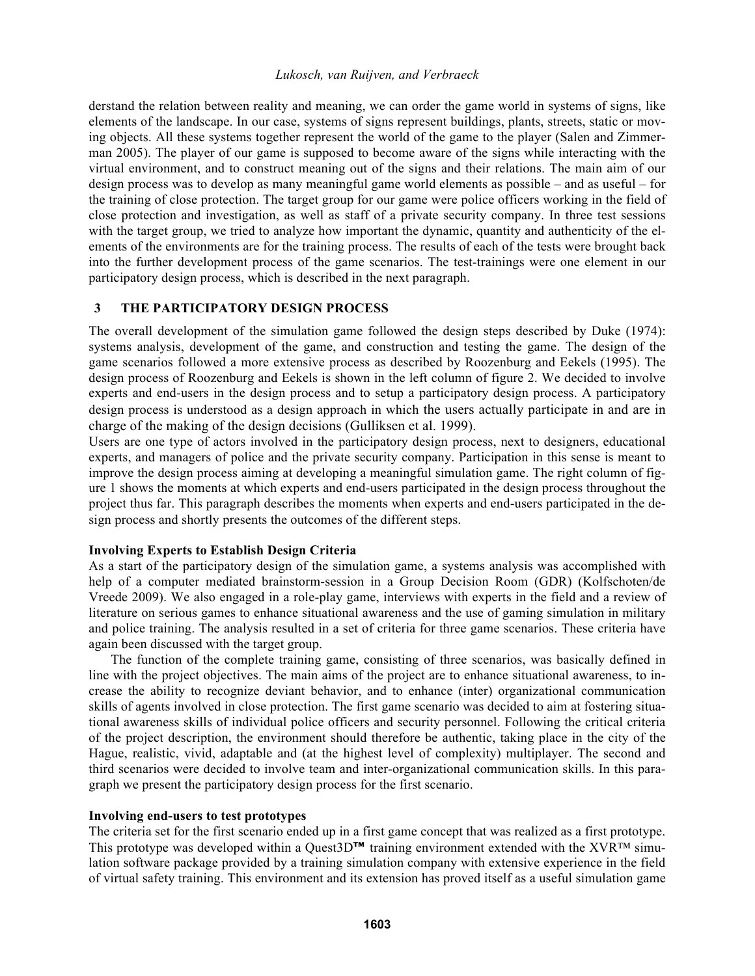derstand the relation between reality and meaning, we can order the game world in systems of signs, like elements of the landscape. In our case, systems of signs represent buildings, plants, streets, static or moving objects. All these systems together represent the world of the game to the player (Salen and Zimmerman 2005). The player of our game is supposed to become aware of the signs while interacting with the virtual environment, and to construct meaning out of the signs and their relations. The main aim of our design process was to develop as many meaningful game world elements as possible – and as useful – for the training of close protection. The target group for our game were police officers working in the field of close protection and investigation, as well as staff of a private security company. In three test sessions with the target group, we tried to analyze how important the dynamic, quantity and authenticity of the elements of the environments are for the training process. The results of each of the tests were brought back into the further development process of the game scenarios. The test-trainings were one element in our participatory design process, which is described in the next paragraph.

# **3 THE PARTICIPATORY DESIGN PROCESS**

The overall development of the simulation game followed the design steps described by Duke (1974): systems analysis, development of the game, and construction and testing the game. The design of the game scenarios followed a more extensive process as described by Roozenburg and Eekels (1995). The design process of Roozenburg and Eekels is shown in the left column of figure 2. We decided to involve experts and end-users in the design process and to setup a participatory design process. A participatory design process is understood as a design approach in which the users actually participate in and are in charge of the making of the design decisions (Gulliksen et al. 1999).

Users are one type of actors involved in the participatory design process, next to designers, educational experts, and managers of police and the private security company. Participation in this sense is meant to improve the design process aiming at developing a meaningful simulation game. The right column of figure 1 shows the moments at which experts and end-users participated in the design process throughout the project thus far. This paragraph describes the moments when experts and end-users participated in the design process and shortly presents the outcomes of the different steps.

### **Involving Experts to Establish Design Criteria**

As a start of the participatory design of the simulation game, a systems analysis was accomplished with help of a computer mediated brainstorm-session in a Group Decision Room (GDR) (Kolfschoten/de Vreede 2009). We also engaged in a role-play game, interviews with experts in the field and a review of literature on serious games to enhance situational awareness and the use of gaming simulation in military and police training. The analysis resulted in a set of criteria for three game scenarios. These criteria have again been discussed with the target group.

 The function of the complete training game, consisting of three scenarios, was basically defined in line with the project objectives. The main aims of the project are to enhance situational awareness, to increase the ability to recognize deviant behavior, and to enhance (inter) organizational communication skills of agents involved in close protection. The first game scenario was decided to aim at fostering situational awareness skills of individual police officers and security personnel. Following the critical criteria of the project description, the environment should therefore be authentic, taking place in the city of the Hague, realistic, vivid, adaptable and (at the highest level of complexity) multiplayer. The second and third scenarios were decided to involve team and inter-organizational communication skills. In this paragraph we present the participatory design process for the first scenario.

### **Involving end-users to test prototypes**

The criteria set for the first scenario ended up in a first game concept that was realized as a first prototype. This prototype was developed within a Quest3D**™** training environment extended with the XVR™ simulation software package provided by a training simulation company with extensive experience in the field of virtual safety training. This environment and its extension has proved itself as a useful simulation game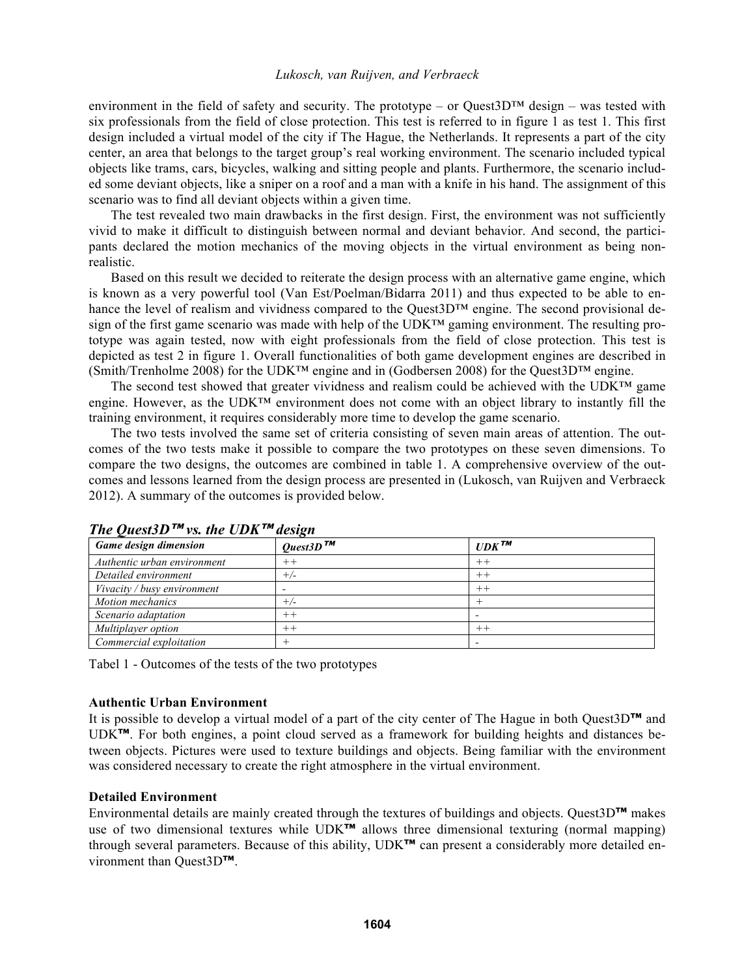environment in the field of safety and security. The prototype – or Quest3D™ design – was tested with six professionals from the field of close protection. This test is referred to in figure 1 as test 1. This first design included a virtual model of the city if The Hague, the Netherlands. It represents a part of the city center, an area that belongs to the target group's real working environment. The scenario included typical objects like trams, cars, bicycles, walking and sitting people and plants. Furthermore, the scenario included some deviant objects, like a sniper on a roof and a man with a knife in his hand. The assignment of this scenario was to find all deviant objects within a given time.

 The test revealed two main drawbacks in the first design. First, the environment was not sufficiently vivid to make it difficult to distinguish between normal and deviant behavior. And second, the participants declared the motion mechanics of the moving objects in the virtual environment as being nonrealistic.

 Based on this result we decided to reiterate the design process with an alternative game engine, which is known as a very powerful tool (Van Est/Poelman/Bidarra 2011) and thus expected to be able to enhance the level of realism and vividness compared to the Quest3D™ engine. The second provisional design of the first game scenario was made with help of the UDK™ gaming environment. The resulting prototype was again tested, now with eight professionals from the field of close protection. This test is depicted as test 2 in figure 1. Overall functionalities of both game development engines are described in (Smith/Trenholme 2008) for the UDK™ engine and in (Godbersen 2008) for the Quest3D™ engine.

 The second test showed that greater vividness and realism could be achieved with the UDK™ game engine. However, as the UDK™ environment does not come with an object library to instantly fill the training environment, it requires considerably more time to develop the game scenario.

 The two tests involved the same set of criteria consisting of seven main areas of attention. The outcomes of the two tests make it possible to compare the two prototypes on these seven dimensions. To compare the two designs, the outcomes are combined in table 1. A comprehensive overview of the outcomes and lessons learned from the design process are presented in (Lukosch, van Ruijven and Verbraeck 2012). A summary of the outcomes is provided below.

| <b>Game design dimension</b> | $Question^{\text{TM}}$ | $UDK^{TM}$ |
|------------------------------|------------------------|------------|
| Authentic urban environment  | $++$                   | $++$       |
| Detailed environment         | $+/-$                  | $++$       |
| Vivacity / busy environment  |                        | $++$       |
| Motion mechanics             | $+/-$                  |            |
| Scenario adaptation          | $++$                   |            |
| Multiplayer option           | $++$                   | $++$       |
| Commercial exploitation      |                        |            |

*The Quest3D***™** *vs. the UDK***™** *design* 

Tabel 1 - Outcomes of the tests of the two prototypes

### **Authentic Urban Environment**

It is possible to develop a virtual model of a part of the city center of The Hague in both Quest3D**™** and UDK**™**. For both engines, a point cloud served as a framework for building heights and distances between objects. Pictures were used to texture buildings and objects. Being familiar with the environment was considered necessary to create the right atmosphere in the virtual environment.

### **Detailed Environment**

Environmental details are mainly created through the textures of buildings and objects. Quest3D**™** makes use of two dimensional textures while UDK**™** allows three dimensional texturing (normal mapping) through several parameters. Because of this ability, UDK**™** can present a considerably more detailed environment than Quest3D**™**.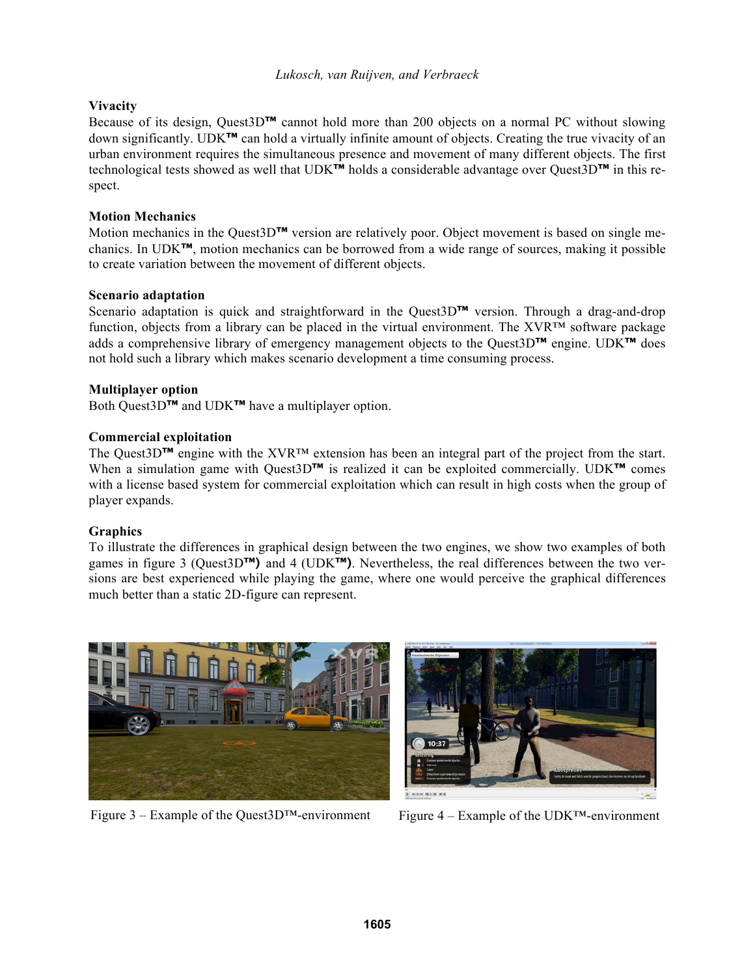# **Vivacity**

Because of its design, Quest3D**™** cannot hold more than 200 objects on a normal PC without slowing down significantly. UDK**™** can hold a virtually infinite amount of objects. Creating the true vivacity of an urban environment requires the simultaneous presence and movement of many different objects. The first technological tests showed as well that UDK**™** holds a considerable advantage over Quest3D**™** in this respect.

# **Motion Mechanics**

Motion mechanics in the Quest3D**™** version are relatively poor. Object movement is based on single mechanics. In UDK**™**, motion mechanics can be borrowed from a wide range of sources, making it possible to create variation between the movement of different objects.

### **Scenario adaptation**

Scenario adaptation is quick and straightforward in the Quest3D**™** version. Through a drag-and-drop function, objects from a library can be placed in the virtual environment. The XVR™ software package adds a comprehensive library of emergency management objects to the Quest3D**™** engine. UDK**™** does not hold such a library which makes scenario development a time consuming process.

# **Multiplayer option**

Both Quest3D**™** and UDK**™** have a multiplayer option.

# **Commercial exploitation**

The Quest3D**™** engine with the XVR™ extension has been an integral part of the project from the start. When a simulation game with Quest3D**™** is realized it can be exploited commercially. UDK**™** comes with a license based system for commercial exploitation which can result in high costs when the group of player expands.

### **Graphics**

To illustrate the differences in graphical design between the two engines, we show two examples of both games in figure 3 (Quest3D**™)** and 4 (UDK**™)**. Nevertheless, the real differences between the two versions are best experienced while playing the game, where one would perceive the graphical differences much better than a static 2D-figure can represent.



Figure 3 – Example of the Quest3D<sup>TM</sup>-environment Figure 4 – Example of the UDK<sup>TM</sup>-environment

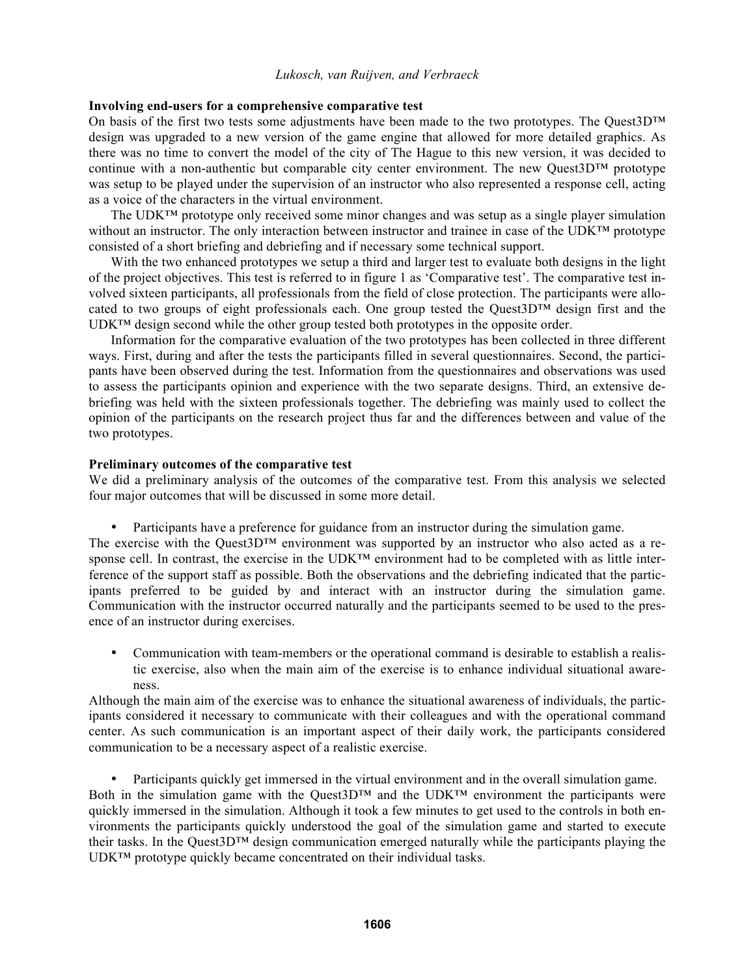### **Involving end-users for a comprehensive comparative test**

On basis of the first two tests some adjustments have been made to the two prototypes. The Quest3D™ design was upgraded to a new version of the game engine that allowed for more detailed graphics. As there was no time to convert the model of the city of The Hague to this new version, it was decided to continue with a non-authentic but comparable city center environment. The new Quest3D™ prototype was setup to be played under the supervision of an instructor who also represented a response cell, acting as a voice of the characters in the virtual environment.

 The UDK™ prototype only received some minor changes and was setup as a single player simulation without an instructor. The only interaction between instructor and trainee in case of the UDK™ prototype consisted of a short briefing and debriefing and if necessary some technical support.

 With the two enhanced prototypes we setup a third and larger test to evaluate both designs in the light of the project objectives. This test is referred to in figure 1 as 'Comparative test'. The comparative test involved sixteen participants, all professionals from the field of close protection. The participants were allocated to two groups of eight professionals each. One group tested the Quest3D™ design first and the UDK™ design second while the other group tested both prototypes in the opposite order.

 Information for the comparative evaluation of the two prototypes has been collected in three different ways. First, during and after the tests the participants filled in several questionnaires. Second, the participants have been observed during the test. Information from the questionnaires and observations was used to assess the participants opinion and experience with the two separate designs. Third, an extensive debriefing was held with the sixteen professionals together. The debriefing was mainly used to collect the opinion of the participants on the research project thus far and the differences between and value of the two prototypes.

#### **Preliminary outcomes of the comparative test**

We did a preliminary analysis of the outcomes of the comparative test. From this analysis we selected four major outcomes that will be discussed in some more detail.

• Participants have a preference for guidance from an instructor during the simulation game. The exercise with the Quest3D™ environment was supported by an instructor who also acted as a response cell. In contrast, the exercise in the UDK™ environment had to be completed with as little interference of the support staff as possible. Both the observations and the debriefing indicated that the participants preferred to be guided by and interact with an instructor during the simulation game. Communication with the instructor occurred naturally and the participants seemed to be used to the presence of an instructor during exercises.

• Communication with team-members or the operational command is desirable to establish a realistic exercise, also when the main aim of the exercise is to enhance individual situational awareness.

Although the main aim of the exercise was to enhance the situational awareness of individuals, the participants considered it necessary to communicate with their colleagues and with the operational command center. As such communication is an important aspect of their daily work, the participants considered communication to be a necessary aspect of a realistic exercise.

• Participants quickly get immersed in the virtual environment and in the overall simulation game. Both in the simulation game with the Quest3D™ and the UDK™ environment the participants were quickly immersed in the simulation. Although it took a few minutes to get used to the controls in both environments the participants quickly understood the goal of the simulation game and started to execute their tasks. In the Quest3D™ design communication emerged naturally while the participants playing the UDK™ prototype quickly became concentrated on their individual tasks.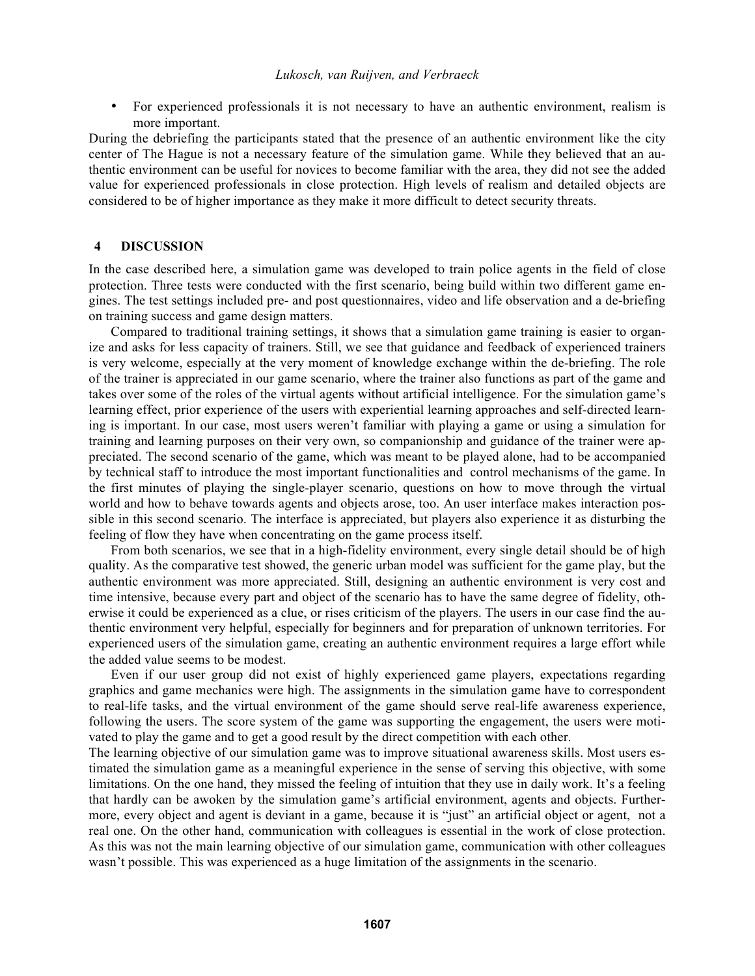• For experienced professionals it is not necessary to have an authentic environment, realism is more important.

During the debriefing the participants stated that the presence of an authentic environment like the city center of The Hague is not a necessary feature of the simulation game. While they believed that an authentic environment can be useful for novices to become familiar with the area, they did not see the added value for experienced professionals in close protection. High levels of realism and detailed objects are considered to be of higher importance as they make it more difficult to detect security threats.

### **4 DISCUSSION**

In the case described here, a simulation game was developed to train police agents in the field of close protection. Three tests were conducted with the first scenario, being build within two different game engines. The test settings included pre- and post questionnaires, video and life observation and a de-briefing on training success and game design matters.

 Compared to traditional training settings, it shows that a simulation game training is easier to organize and asks for less capacity of trainers. Still, we see that guidance and feedback of experienced trainers is very welcome, especially at the very moment of knowledge exchange within the de-briefing. The role of the trainer is appreciated in our game scenario, where the trainer also functions as part of the game and takes over some of the roles of the virtual agents without artificial intelligence. For the simulation game's learning effect, prior experience of the users with experiential learning approaches and self-directed learning is important. In our case, most users weren't familiar with playing a game or using a simulation for training and learning purposes on their very own, so companionship and guidance of the trainer were appreciated. The second scenario of the game, which was meant to be played alone, had to be accompanied by technical staff to introduce the most important functionalities and control mechanisms of the game. In the first minutes of playing the single-player scenario, questions on how to move through the virtual world and how to behave towards agents and objects arose, too. An user interface makes interaction possible in this second scenario. The interface is appreciated, but players also experience it as disturbing the feeling of flow they have when concentrating on the game process itself.

 From both scenarios, we see that in a high-fidelity environment, every single detail should be of high quality. As the comparative test showed, the generic urban model was sufficient for the game play, but the authentic environment was more appreciated. Still, designing an authentic environment is very cost and time intensive, because every part and object of the scenario has to have the same degree of fidelity, otherwise it could be experienced as a clue, or rises criticism of the players. The users in our case find the authentic environment very helpful, especially for beginners and for preparation of unknown territories. For experienced users of the simulation game, creating an authentic environment requires a large effort while the added value seems to be modest.

 Even if our user group did not exist of highly experienced game players, expectations regarding graphics and game mechanics were high. The assignments in the simulation game have to correspondent to real-life tasks, and the virtual environment of the game should serve real-life awareness experience, following the users. The score system of the game was supporting the engagement, the users were motivated to play the game and to get a good result by the direct competition with each other.

The learning objective of our simulation game was to improve situational awareness skills. Most users estimated the simulation game as a meaningful experience in the sense of serving this objective, with some limitations. On the one hand, they missed the feeling of intuition that they use in daily work. It's a feeling that hardly can be awoken by the simulation game's artificial environment, agents and objects. Furthermore, every object and agent is deviant in a game, because it is "just" an artificial object or agent, not a real one. On the other hand, communication with colleagues is essential in the work of close protection. As this was not the main learning objective of our simulation game, communication with other colleagues wasn't possible. This was experienced as a huge limitation of the assignments in the scenario.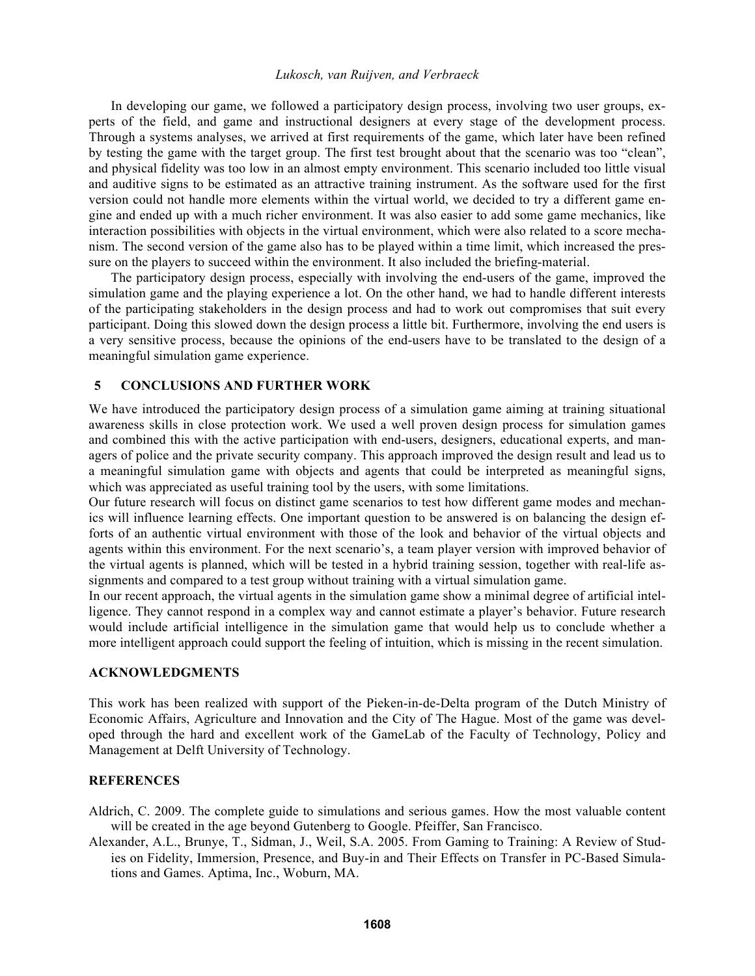In developing our game, we followed a participatory design process, involving two user groups, experts of the field, and game and instructional designers at every stage of the development process. Through a systems analyses, we arrived at first requirements of the game, which later have been refined by testing the game with the target group. The first test brought about that the scenario was too "clean", and physical fidelity was too low in an almost empty environment. This scenario included too little visual and auditive signs to be estimated as an attractive training instrument. As the software used for the first version could not handle more elements within the virtual world, we decided to try a different game engine and ended up with a much richer environment. It was also easier to add some game mechanics, like interaction possibilities with objects in the virtual environment, which were also related to a score mechanism. The second version of the game also has to be played within a time limit, which increased the pressure on the players to succeed within the environment. It also included the briefing-material.

 The participatory design process, especially with involving the end-users of the game, improved the simulation game and the playing experience a lot. On the other hand, we had to handle different interests of the participating stakeholders in the design process and had to work out compromises that suit every participant. Doing this slowed down the design process a little bit. Furthermore, involving the end users is a very sensitive process, because the opinions of the end-users have to be translated to the design of a meaningful simulation game experience.

### **5 CONCLUSIONS AND FURTHER WORK**

We have introduced the participatory design process of a simulation game aiming at training situational awareness skills in close protection work. We used a well proven design process for simulation games and combined this with the active participation with end-users, designers, educational experts, and managers of police and the private security company. This approach improved the design result and lead us to a meaningful simulation game with objects and agents that could be interpreted as meaningful signs, which was appreciated as useful training tool by the users, with some limitations.

Our future research will focus on distinct game scenarios to test how different game modes and mechanics will influence learning effects. One important question to be answered is on balancing the design efforts of an authentic virtual environment with those of the look and behavior of the virtual objects and agents within this environment. For the next scenario's, a team player version with improved behavior of the virtual agents is planned, which will be tested in a hybrid training session, together with real-life assignments and compared to a test group without training with a virtual simulation game.

In our recent approach, the virtual agents in the simulation game show a minimal degree of artificial intelligence. They cannot respond in a complex way and cannot estimate a player's behavior. Future research would include artificial intelligence in the simulation game that would help us to conclude whether a more intelligent approach could support the feeling of intuition, which is missing in the recent simulation.

## **ACKNOWLEDGMENTS**

This work has been realized with support of the Pieken-in-de-Delta program of the Dutch Ministry of Economic Affairs, Agriculture and Innovation and the City of The Hague. Most of the game was developed through the hard and excellent work of the GameLab of the Faculty of Technology, Policy and Management at Delft University of Technology.

### **REFERENCES**

- Aldrich, C. 2009. The complete guide to simulations and serious games. How the most valuable content will be created in the age beyond Gutenberg to Google. Pfeiffer, San Francisco.
- Alexander, A.L., Brunye, T., Sidman, J., Weil, S.A. 2005. From Gaming to Training: A Review of Studies on Fidelity, Immersion, Presence, and Buy-in and Their Effects on Transfer in PC-Based Simulations and Games. Aptima, Inc., Woburn, MA.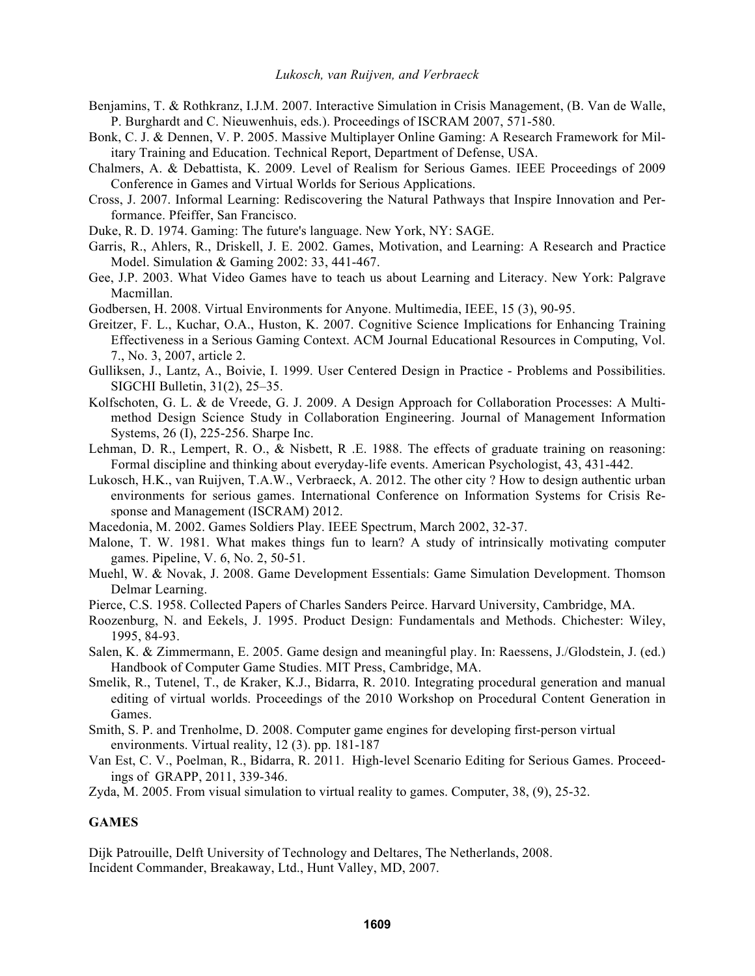- Benjamins, T. & Rothkranz, I.J.M. 2007. Interactive Simulation in Crisis Management, (B. Van de Walle, P. Burghardt and C. Nieuwenhuis, eds.). Proceedings of ISCRAM 2007, 571-580.
- Bonk, C. J. & Dennen, V. P. 2005. Massive Multiplayer Online Gaming: A Research Framework for Military Training and Education. Technical Report, Department of Defense, USA.
- Chalmers, A. & Debattista, K. 2009. Level of Realism for Serious Games. IEEE Proceedings of 2009 Conference in Games and Virtual Worlds for Serious Applications.
- Cross, J. 2007. Informal Learning: Rediscovering the Natural Pathways that Inspire Innovation and Performance. Pfeiffer, San Francisco.
- Duke, R. D. 1974. Gaming: The future's language. New York, NY: SAGE.
- Garris, R., Ahlers, R., Driskell, J. E. 2002. Games, Motivation, and Learning: A Research and Practice Model. Simulation & Gaming 2002: 33, 441-467.
- Gee, J.P. 2003. What Video Games have to teach us about Learning and Literacy. New York: Palgrave Macmillan.
- Godbersen, H. 2008. Virtual Environments for Anyone. Multimedia, IEEE, 15 (3), 90-95.
- Greitzer, F. L., Kuchar, O.A., Huston, K. 2007. Cognitive Science Implications for Enhancing Training Effectiveness in a Serious Gaming Context. ACM Journal Educational Resources in Computing, Vol. 7., No. 3, 2007, article 2.
- Gulliksen, J., Lantz, A., Boivie, I. 1999. User Centered Design in Practice Problems and Possibilities. SIGCHI Bulletin, 31(2), 25–35.
- Kolfschoten, G. L. & de Vreede, G. J. 2009. A Design Approach for Collaboration Processes: A Multimethod Design Science Study in Collaboration Engineering. Journal of Management Information Systems, 26 (I), 225-256. Sharpe Inc.
- Lehman, D. R., Lempert, R. O., & Nisbett, R .E. 1988. The effects of graduate training on reasoning: Formal discipline and thinking about everyday-life events. American Psychologist, 43, 431-442.
- Lukosch, H.K., van Ruijven, T.A.W., Verbraeck, A. 2012. The other city ? How to design authentic urban environments for serious games. International Conference on Information Systems for Crisis Response and Management (ISCRAM) 2012.
- Macedonia, M. 2002. Games Soldiers Play. IEEE Spectrum, March 2002, 32-37.
- Malone, T. W. 1981. What makes things fun to learn? A study of intrinsically motivating computer games. Pipeline, V. 6, No. 2, 50-51.
- Muehl, W. & Novak, J. 2008. Game Development Essentials: Game Simulation Development. Thomson Delmar Learning.
- Pierce, C.S. 1958. Collected Papers of Charles Sanders Peirce. Harvard University, Cambridge, MA.
- Roozenburg, N. and Eekels, J. 1995. Product Design: Fundamentals and Methods. Chichester: Wiley, 1995, 84-93.
- Salen, K. & Zimmermann, E. 2005. Game design and meaningful play. In: Raessens, J./Glodstein, J. (ed.) Handbook of Computer Game Studies. MIT Press, Cambridge, MA.
- Smelik, R., Tutenel, T., de Kraker, K.J., Bidarra, R. 2010. Integrating procedural generation and manual editing of virtual worlds. Proceedings of the 2010 Workshop on Procedural Content Generation in Games.
- Smith, S. P. and Trenholme, D. 2008. Computer game engines for developing first-person virtual environments. Virtual reality, 12 (3). pp. 181-187
- Van Est, C. V., Poelman, R., Bidarra, R. 2011. High-level Scenario Editing for Serious Games. Proceedings of GRAPP, 2011, 339-346.
- Zyda, M. 2005. From visual simulation to virtual reality to games. Computer, 38, (9), 25-32.

# **GAMES**

Dijk Patrouille, Delft University of Technology and Deltares, The Netherlands, 2008. Incident Commander, Breakaway, Ltd., Hunt Valley, MD, 2007.